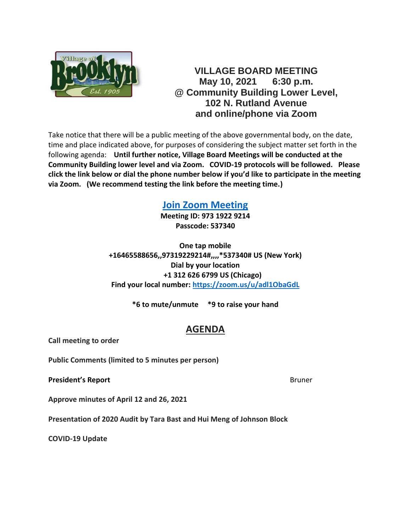

### **VILLAGE BOARD MEETING May 10, 2021 6:30 p.m. @ Community Building Lower Level, 102 N. Rutland Avenue and online/phone via Zoom**

Take notice that there will be a public meeting of the above governmental body, on the date, time and place indicated above, for purposes of considering the subject matter set forth in the following agenda: **Until further notice, Village Board Meetings will be conducted at the Community Building lower level and via Zoom. COVID-19 protocols will be followed. Please click the link below or dial the phone number below if you'd like to participate in the meeting via Zoom. (We recommend testing the link before the meeting time.)**

## **[Join Zoom Meeting](https://zoom.us/j/97319229214?pwd=SHI2V2RsOTMxaWc5QkJwS1hXTzh5dz09)**

**Meeting ID: 973 1922 9214 Passcode: 537340**

**One tap mobile +16465588656,,97319229214#,,,,\*537340# US (New York) Dial by your location +1 312 626 6799 US (Chicago) Find your local number:<https://zoom.us/u/adl1ObaGdL>**

**\*6 to mute/unmute \*9 to raise your hand**

# **AGENDA**

**Call meeting to order**

**Public Comments (limited to 5 minutes per person)**

**President's Report** Bruner Bruner Bruner

**Approve minutes of April 12 and 26, 2021**

**Presentation of 2020 Audit by Tara Bast and Hui Meng of Johnson Block**

**COVID-19 Update**